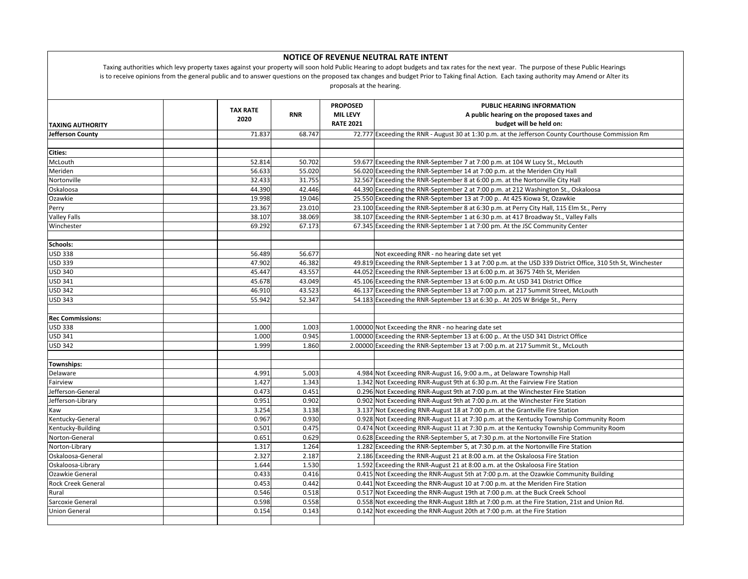| NOTICE OF REVENUE NEUTRAL RATE INTENT<br>Taxing authorities which levy property taxes against your property will soon hold Public Hearing to adopt budgets and tax rates for the next year. The purpose of these Public Hearings<br>is to receive opinions from the general public and to answer questions on the proposed tax changes and budget Prior to Taking final Action. Each taxing authority may Amend or Alter its<br>proposals at the hearing. |                         |            |                                                        |                                                                                                            |  |  |  |  |
|-----------------------------------------------------------------------------------------------------------------------------------------------------------------------------------------------------------------------------------------------------------------------------------------------------------------------------------------------------------------------------------------------------------------------------------------------------------|-------------------------|------------|--------------------------------------------------------|------------------------------------------------------------------------------------------------------------|--|--|--|--|
| <b>TAXING AUTHORITY</b>                                                                                                                                                                                                                                                                                                                                                                                                                                   | <b>TAX RATE</b><br>2020 | <b>RNR</b> | <b>PROPOSED</b><br><b>MIL LEVY</b><br><b>RATE 2021</b> | <b>PUBLIC HEARING INFORMATION</b><br>A public hearing on the proposed taxes and<br>budget will be held on: |  |  |  |  |
| Jefferson County                                                                                                                                                                                                                                                                                                                                                                                                                                          | 71.837                  | 68.747     |                                                        | 72.777 Exceeding the RNR - August 30 at 1:30 p.m. at the Jefferson County Courthouse Commission Rm         |  |  |  |  |
|                                                                                                                                                                                                                                                                                                                                                                                                                                                           |                         |            |                                                        |                                                                                                            |  |  |  |  |
| <b>Cities:</b>                                                                                                                                                                                                                                                                                                                                                                                                                                            |                         |            |                                                        |                                                                                                            |  |  |  |  |
| McLouth                                                                                                                                                                                                                                                                                                                                                                                                                                                   | 52.814                  | 50.702     |                                                        | 59.677 Exceeding the RNR-September 7 at 7:00 p.m. at 104 W Lucy St., McLouth                               |  |  |  |  |
| Meriden                                                                                                                                                                                                                                                                                                                                                                                                                                                   | 56.633                  | 55.020     |                                                        | 56.020 Exceeding the RNR-September 14 at 7:00 p.m. at the Meriden City Hall                                |  |  |  |  |
| Nortonville                                                                                                                                                                                                                                                                                                                                                                                                                                               | 32.433                  | 31.755     |                                                        | 32.567 Exceeding the RNR-September 8 at 6:00 p.m. at the Nortonville City Hall                             |  |  |  |  |
| Oskaloosa                                                                                                                                                                                                                                                                                                                                                                                                                                                 | 44.390                  | 42.446     |                                                        | 44.390 Exceeding the RNR-September 2 at 7:00 p.m. at 212 Washington St., Oskaloosa                         |  |  |  |  |
| Ozawkie                                                                                                                                                                                                                                                                                                                                                                                                                                                   | 19.998                  | 19.046     |                                                        | 25.550 Exceeding the RNR-September 13 at 7:00 p At 425 Kiowa St, Ozawkie                                   |  |  |  |  |
| Perry                                                                                                                                                                                                                                                                                                                                                                                                                                                     | 23.367                  | 23.010     |                                                        | 23.100 Exceeding the RNR-September 8 at 6:30 p.m. at Perry City Hall, 115 Elm St., Perry                   |  |  |  |  |
| <b>Valley Falls</b>                                                                                                                                                                                                                                                                                                                                                                                                                                       | 38.107                  | 38.069     |                                                        | 38.107 Exceeding the RNR-September 1 at 6:30 p.m. at 417 Broadway St., Valley Falls                        |  |  |  |  |
| Winchester                                                                                                                                                                                                                                                                                                                                                                                                                                                | 69.292                  | 67.173     |                                                        | 67.345 Exceeding the RNR-September 1 at 7:00 pm. At the JSC Community Center                               |  |  |  |  |
|                                                                                                                                                                                                                                                                                                                                                                                                                                                           |                         |            |                                                        |                                                                                                            |  |  |  |  |
| Schools:                                                                                                                                                                                                                                                                                                                                                                                                                                                  |                         |            |                                                        |                                                                                                            |  |  |  |  |
| <b>USD 338</b>                                                                                                                                                                                                                                                                                                                                                                                                                                            | 56.489                  | 56.677     |                                                        | Not exceeding RNR - no hearing date set yet                                                                |  |  |  |  |
| <b>USD 339</b>                                                                                                                                                                                                                                                                                                                                                                                                                                            | 47.902                  | 46.382     |                                                        | 49.819 Exceeding the RNR-September 1 3 at 7:00 p.m. at the USD 339 District Office, 310 5th St, Winchester |  |  |  |  |
| <b>USD 340</b>                                                                                                                                                                                                                                                                                                                                                                                                                                            | 45.447                  | 43.557     |                                                        | 44.052 Exceeding the RNR-September 13 at 6:00 p.m. at 3675 74th St, Meriden                                |  |  |  |  |
| <b>USD 341</b>                                                                                                                                                                                                                                                                                                                                                                                                                                            | 45.678                  | 43.049     |                                                        | 45.106 Exceeding the RNR-September 13 at 6:00 p.m. At USD 341 District Office                              |  |  |  |  |
| <b>USD 342</b>                                                                                                                                                                                                                                                                                                                                                                                                                                            | 46.910                  | 43.523     |                                                        | 46.137 Exceeding the RNR-September 13 at 7:00 p.m. at 217 Summit Street, McLouth                           |  |  |  |  |
| <b>USD 343</b>                                                                                                                                                                                                                                                                                                                                                                                                                                            | 55.942                  | 52.347     |                                                        | 54.183 Exceeding the RNR-September 13 at 6:30 p At 205 W Bridge St., Perry                                 |  |  |  |  |
|                                                                                                                                                                                                                                                                                                                                                                                                                                                           |                         |            |                                                        |                                                                                                            |  |  |  |  |
| <b>Rec Commissions:</b>                                                                                                                                                                                                                                                                                                                                                                                                                                   |                         |            |                                                        |                                                                                                            |  |  |  |  |
| <b>USD 338</b>                                                                                                                                                                                                                                                                                                                                                                                                                                            | 1.000                   | 1.003      |                                                        | 1.00000 Not Exceeding the RNR - no hearing date set                                                        |  |  |  |  |
| <b>USD 341</b>                                                                                                                                                                                                                                                                                                                                                                                                                                            | 1.000                   | 0.945      |                                                        | 1.00000 Exceeding the RNR-September 13 at 6:00 p At the USD 341 District Office                            |  |  |  |  |
| <b>USD 342</b>                                                                                                                                                                                                                                                                                                                                                                                                                                            | 1.999                   | 1.860      |                                                        | 2.00000 Exceeding the RNR-September 13 at 7:00 p.m. at 217 Summit St., McLouth                             |  |  |  |  |
|                                                                                                                                                                                                                                                                                                                                                                                                                                                           |                         |            |                                                        |                                                                                                            |  |  |  |  |
| <b>Townships:</b>                                                                                                                                                                                                                                                                                                                                                                                                                                         |                         |            |                                                        |                                                                                                            |  |  |  |  |
| Delaware                                                                                                                                                                                                                                                                                                                                                                                                                                                  | 4.991                   | 5.003      |                                                        | 4.984 Not Exceeding RNR-August 16, 9:00 a.m., at Delaware Township Hall                                    |  |  |  |  |
| Fairview                                                                                                                                                                                                                                                                                                                                                                                                                                                  | 1.427                   | 1.343      |                                                        | 1.342 Not Exceeding RNR-August 9th at 6:30 p.m. At the Fairview Fire Station                               |  |  |  |  |
| Jefferson-General                                                                                                                                                                                                                                                                                                                                                                                                                                         | 0.473                   | 0.451      |                                                        | 0.296 Not Exceeding RNR-August 9th at 7:00 p.m. at the Winchester Fire Station                             |  |  |  |  |
| Jefferson-Library                                                                                                                                                                                                                                                                                                                                                                                                                                         | 0.951                   | 0.902      |                                                        | 0.902 Not Exceeding RNR-August 9th at 7:00 p.m. at the Winchester Fire Station                             |  |  |  |  |
| Kaw                                                                                                                                                                                                                                                                                                                                                                                                                                                       | 3.254                   | 3.138      |                                                        | 3.137 Not Exceeding RNR-August 18 at 7:00 p.m. at the Grantville Fire Station                              |  |  |  |  |
| Kentucky-General                                                                                                                                                                                                                                                                                                                                                                                                                                          | 0.967                   | 0.930      |                                                        | 0.928 Not Exceeding RNR-August 11 at 7:30 p.m. at the Kentucky Township Community Room                     |  |  |  |  |
| Kentucky-Building                                                                                                                                                                                                                                                                                                                                                                                                                                         | 0.501                   | 0.475      |                                                        | 0.474 Not Exceeding RNR-August 11 at 7:30 p.m. at the Kentucky Township Community Room                     |  |  |  |  |
| Norton-General                                                                                                                                                                                                                                                                                                                                                                                                                                            | 0.651                   | 0.629      |                                                        | 0.628 Exceeding the RNR-September 5, at 7:30 p.m. at the Nortonville Fire Station                          |  |  |  |  |
| Norton-Library                                                                                                                                                                                                                                                                                                                                                                                                                                            | 1.317                   | 1.264      |                                                        | 1.282 Exceeding the RNR-September 5, at 7:30 p.m. at the Nortonville Fire Station                          |  |  |  |  |
| Oskaloosa-General                                                                                                                                                                                                                                                                                                                                                                                                                                         | 2.327                   | 2.187      |                                                        | 2.186 Exceeding the RNR-August 21 at 8:00 a.m. at the Oskaloosa Fire Station                               |  |  |  |  |
| Oskaloosa-Library                                                                                                                                                                                                                                                                                                                                                                                                                                         | 1.644                   | 1.530      |                                                        | 1.592 Exceeding the RNR-August 21 at 8:00 a.m. at the Oskaloosa Fire Station                               |  |  |  |  |
| Ozawkie General                                                                                                                                                                                                                                                                                                                                                                                                                                           | 0.433                   | 0.416      |                                                        | 0.415 Not Exceeding the RNR-August 5th at 7:00 p.m. at the Ozawkie Community Building                      |  |  |  |  |
| Rock Creek General                                                                                                                                                                                                                                                                                                                                                                                                                                        | 0.453                   | 0.442      |                                                        | 0.441 Not Exceeding the RNR-August 10 at 7:00 p.m. at the Meriden Fire Station                             |  |  |  |  |
| Rural                                                                                                                                                                                                                                                                                                                                                                                                                                                     | 0.546                   | 0.518      |                                                        | 0.517 Not Exceeding the RNR-August 19th at 7:00 p.m. at the Buck Creek School                              |  |  |  |  |
| Sarcoxie General                                                                                                                                                                                                                                                                                                                                                                                                                                          | 0.598                   | 0.558      |                                                        | 0.558 Not exceeding the RNR-August 18th at 7:00 p.m. at the Fire Station, 21st and Union Rd.               |  |  |  |  |
| <b>Union General</b>                                                                                                                                                                                                                                                                                                                                                                                                                                      | 0.154                   | 0.143      |                                                        | 0.142 Not exceeding the RNR-August 20th at 7:00 p.m. at the Fire Station                                   |  |  |  |  |
|                                                                                                                                                                                                                                                                                                                                                                                                                                                           |                         |            |                                                        |                                                                                                            |  |  |  |  |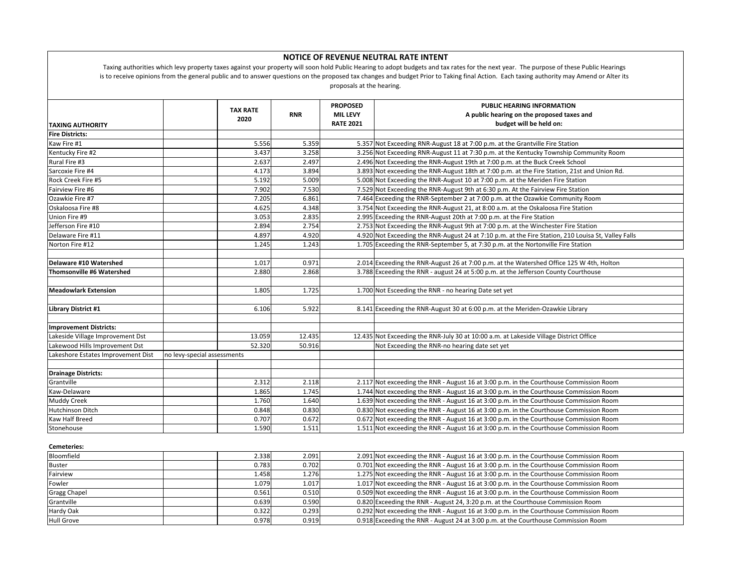| <b>NOTICE OF REVENUE NEUTRAL RATE INTENT</b><br>Taxing authorities which levy property taxes against your property will soon hold Public Hearing to adopt budgets and tax rates for the next year. The purpose of these Public Hearings<br>is to receive opinions from the general public and to answer questions on the proposed tax changes and budget Prior to Taking final Action. Each taxing authority may Amend or Alter its<br>proposals at the hearing. |                             |                  |                                                        |                                                                                                                                         |  |  |  |  |
|------------------------------------------------------------------------------------------------------------------------------------------------------------------------------------------------------------------------------------------------------------------------------------------------------------------------------------------------------------------------------------------------------------------------------------------------------------------|-----------------------------|------------------|--------------------------------------------------------|-----------------------------------------------------------------------------------------------------------------------------------------|--|--|--|--|
| <b>TAXING AUTHORITY</b>                                                                                                                                                                                                                                                                                                                                                                                                                                          | <b>TAX RATE</b><br>2020     | <b>RNR</b>       | <b>PROPOSED</b><br><b>MIL LEVY</b><br><b>RATE 2021</b> | PUBLIC HEARING INFORMATION<br>A public hearing on the proposed taxes and<br>budget will be held on:                                     |  |  |  |  |
| <b>Fire Districts:</b>                                                                                                                                                                                                                                                                                                                                                                                                                                           |                             |                  |                                                        |                                                                                                                                         |  |  |  |  |
| Kaw Fire #1                                                                                                                                                                                                                                                                                                                                                                                                                                                      | 5.556                       | 5.359            |                                                        | 5.357 Not Exceeding RNR-August 18 at 7:00 p.m. at the Grantville Fire Station                                                           |  |  |  |  |
| Kentucky Fire #2                                                                                                                                                                                                                                                                                                                                                                                                                                                 | 3.437                       | 3.258            |                                                        | 3.256 Not Exceeding RNR-August 11 at 7:30 p.m. at the Kentucky Township Community Room                                                  |  |  |  |  |
| Rural Fire #3                                                                                                                                                                                                                                                                                                                                                                                                                                                    | 2.637                       | 2.497            |                                                        | 2.496 Not Exceeding the RNR-August 19th at 7:00 p.m. at the Buck Creek School                                                           |  |  |  |  |
| Sarcoxie Fire #4                                                                                                                                                                                                                                                                                                                                                                                                                                                 | 4.173                       | 3.894            |                                                        | 3.893 Not exceeding the RNR-August 18th at 7:00 p.m. at the Fire Station, 21st and Union Rd.                                            |  |  |  |  |
| Rock Creek Fire #5                                                                                                                                                                                                                                                                                                                                                                                                                                               | 5.192                       | 5.009            |                                                        | 5.008 Not Exceeding the RNR-August 10 at 7:00 p.m. at the Meriden Fire Station                                                          |  |  |  |  |
| Fairview Fire #6                                                                                                                                                                                                                                                                                                                                                                                                                                                 | 7.902                       | 7.530            |                                                        | 7.529 Not Exceeding the RNR-August 9th at 6:30 p.m. At the Fairview Fire Station                                                        |  |  |  |  |
| Ozawkie Fire #7                                                                                                                                                                                                                                                                                                                                                                                                                                                  | 7.205                       | 6.861            |                                                        | 7.464 Exceeding the RNR-September 2 at 7:00 p.m. at the Ozawkie Community Room                                                          |  |  |  |  |
| Oskaloosa Fire #8                                                                                                                                                                                                                                                                                                                                                                                                                                                | 4.625                       | 4.348            |                                                        | 3.754 Not Exceeding the RNR-August 21, at 8:00 a.m. at the Oskaloosa Fire Station                                                       |  |  |  |  |
| Union Fire #9                                                                                                                                                                                                                                                                                                                                                                                                                                                    | 3.053                       | 2.835            |                                                        | 2.995 Exceeding the RNR-August 20th at 7:00 p.m. at the Fire Station                                                                    |  |  |  |  |
| Jefferson Fire #10                                                                                                                                                                                                                                                                                                                                                                                                                                               | 2.894                       | 2.754            |                                                        | 2.753 Not Exceeding the RNR-August 9th at 7:00 p.m. at the Winchester Fire Station                                                      |  |  |  |  |
| Delaware Fire #11                                                                                                                                                                                                                                                                                                                                                                                                                                                | 4.897                       | 4.920            |                                                        | 4.920 Not Exceeding the RNR-August 24 at 7:10 p.m. at the Fire Station, 210 Louisa St, Valley Falls                                     |  |  |  |  |
| Norton Fire #12                                                                                                                                                                                                                                                                                                                                                                                                                                                  | 1.245                       | 1.243            |                                                        | 1.705 Exceeding the RNR-September 5, at 7:30 p.m. at the Nortonville Fire Station                                                       |  |  |  |  |
|                                                                                                                                                                                                                                                                                                                                                                                                                                                                  |                             |                  |                                                        |                                                                                                                                         |  |  |  |  |
| Delaware #10 Watershed                                                                                                                                                                                                                                                                                                                                                                                                                                           | 1.017                       | 0.971            |                                                        | 2.014 Exceeding the RNR-August 26 at 7:00 p.m. at the Watershed Office 125 W 4th, Holton                                                |  |  |  |  |
| <b>Thomsonville #6 Watershed</b>                                                                                                                                                                                                                                                                                                                                                                                                                                 | 2.880                       | 2.868            |                                                        | 3.788 Exceeding the RNR - august 24 at 5:00 p.m. at the Jefferson County Courthouse                                                     |  |  |  |  |
|                                                                                                                                                                                                                                                                                                                                                                                                                                                                  |                             |                  |                                                        |                                                                                                                                         |  |  |  |  |
| <b>Meadowlark Extension</b>                                                                                                                                                                                                                                                                                                                                                                                                                                      | 1.805                       | 1.725            |                                                        | 1.700 Not Esceeding the RNR - no hearing Date set yet                                                                                   |  |  |  |  |
|                                                                                                                                                                                                                                                                                                                                                                                                                                                                  |                             |                  |                                                        |                                                                                                                                         |  |  |  |  |
| Library District #1                                                                                                                                                                                                                                                                                                                                                                                                                                              | 6.106                       | 5.922            |                                                        | 8.141 Exceeding the RNR-August 30 at 6:00 p.m. at the Meriden-Ozawkie Library                                                           |  |  |  |  |
|                                                                                                                                                                                                                                                                                                                                                                                                                                                                  |                             |                  |                                                        |                                                                                                                                         |  |  |  |  |
| <b>Improvement Districts:</b>                                                                                                                                                                                                                                                                                                                                                                                                                                    |                             |                  |                                                        |                                                                                                                                         |  |  |  |  |
| Lakeside Village Improvement Dst<br>Lakewood Hills Improvement Dst                                                                                                                                                                                                                                                                                                                                                                                               | 13.059<br>52.320            | 12.435<br>50.916 |                                                        | 12.435 Not Exceeding the RNR-July 30 at 10:00 a.m. at Lakeside Village District Office<br>Not Exceeding the RNR-no hearing date set yet |  |  |  |  |
| Lakeshore Estates Improvement Dist                                                                                                                                                                                                                                                                                                                                                                                                                               | no levy-special assessments |                  |                                                        |                                                                                                                                         |  |  |  |  |
|                                                                                                                                                                                                                                                                                                                                                                                                                                                                  |                             |                  |                                                        |                                                                                                                                         |  |  |  |  |
| <b>Drainage Districts:</b>                                                                                                                                                                                                                                                                                                                                                                                                                                       |                             |                  |                                                        |                                                                                                                                         |  |  |  |  |
| Grantville                                                                                                                                                                                                                                                                                                                                                                                                                                                       | 2.312                       | 2.118            |                                                        | 2.117 Not exceeding the RNR - August 16 at 3:00 p.m. in the Courthouse Commission Room                                                  |  |  |  |  |
| Kaw-Delaware                                                                                                                                                                                                                                                                                                                                                                                                                                                     | 1.865                       | 1.745            |                                                        | 1.744 Not exceeding the RNR - August 16 at 3:00 p.m. in the Courthouse Commission Room                                                  |  |  |  |  |
| <b>Muddy Creek</b>                                                                                                                                                                                                                                                                                                                                                                                                                                               | 1.760                       | 1.640            |                                                        | 1.639 Not exceeding the RNR - August 16 at 3:00 p.m. in the Courthouse Commission Room                                                  |  |  |  |  |
| Hutchinson Ditch                                                                                                                                                                                                                                                                                                                                                                                                                                                 | 0.848                       | 0.830            |                                                        | 0.830 Not exceeding the RNR - August 16 at 3:00 p.m. in the Courthouse Commission Room                                                  |  |  |  |  |
| Kaw Half Breed                                                                                                                                                                                                                                                                                                                                                                                                                                                   | 0.707                       | 0.672            |                                                        | 0.672 Not exceeding the RNR - August 16 at 3:00 p.m. in the Courthouse Commission Room                                                  |  |  |  |  |
| Stonehouse                                                                                                                                                                                                                                                                                                                                                                                                                                                       | 1.590                       | 1.511            |                                                        | 1.511 Not exceeding the RNR - August 16 at 3:00 p.m. in the Courthouse Commission Room                                                  |  |  |  |  |
|                                                                                                                                                                                                                                                                                                                                                                                                                                                                  |                             |                  |                                                        |                                                                                                                                         |  |  |  |  |
| Cemeteries:                                                                                                                                                                                                                                                                                                                                                                                                                                                      |                             |                  |                                                        |                                                                                                                                         |  |  |  |  |
| Bloomfield                                                                                                                                                                                                                                                                                                                                                                                                                                                       | 2.338                       | 2.091            |                                                        | 2.091 Not exceeding the RNR - August 16 at 3:00 p.m. in the Courthouse Commission Room                                                  |  |  |  |  |
| <b>Buster</b>                                                                                                                                                                                                                                                                                                                                                                                                                                                    | 0.783                       | 0.702            |                                                        | 0.701 Not exceeding the RNR - August 16 at 3:00 p.m. in the Courthouse Commission Room                                                  |  |  |  |  |
| Fairview                                                                                                                                                                                                                                                                                                                                                                                                                                                         | 1.458                       | 1.276            |                                                        | 1.275 Not exceeding the RNR - August 16 at 3:00 p.m. in the Courthouse Commission Room                                                  |  |  |  |  |
| Fowler                                                                                                                                                                                                                                                                                                                                                                                                                                                           | 1.079                       | 1.017            |                                                        | 1.017 Not exceeding the RNR - August 16 at 3:00 p.m. in the Courthouse Commission Room                                                  |  |  |  |  |
| Gragg Chapel                                                                                                                                                                                                                                                                                                                                                                                                                                                     | 0.561                       | 0.510            |                                                        | 0.509 Not exceeding the RNR - August 16 at 3:00 p.m. in the Courthouse Commission Room                                                  |  |  |  |  |
| Grantville                                                                                                                                                                                                                                                                                                                                                                                                                                                       | 0.639                       | 0.590            |                                                        | 0.820 Exceeding the RNR - August 24, 3:20 p.m. at the Courthouse Commission Room                                                        |  |  |  |  |
| Hardy Oak                                                                                                                                                                                                                                                                                                                                                                                                                                                        | 0.322                       | 0.293            |                                                        | 0.292 Not exceeding the RNR - August 16 at 3:00 p.m. in the Courthouse Commission Room                                                  |  |  |  |  |
| <b>Hull Grove</b>                                                                                                                                                                                                                                                                                                                                                                                                                                                | 0.978                       | 0.919            |                                                        | 0.918 Exceeding the RNR - August 24 at 3:00 p.m. at the Courthouse Commission Room                                                      |  |  |  |  |